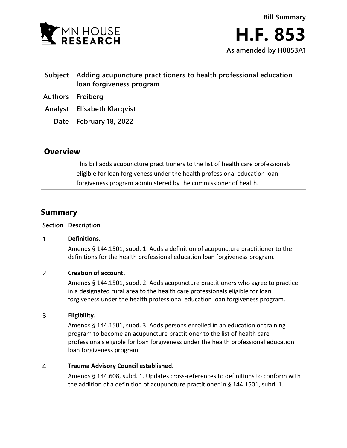

- **Subject Adding acupuncture practitioners to health professional education loan forgiveness program**
- **Authors Freiberg**
- **Analyst Elisabeth Klarqvist**
	- **Date February 18, 2022**

## **Overview**

This bill adds acupuncture practitioners to the list of health care professionals eligible for loan forgiveness under the health professional education loan forgiveness program administered by the commissioner of health.

# **Summary**

### **Section Description**

#### $\mathbf{1}$ **Definitions.**

Amends § 144.1501, subd. 1. Adds a definition of acupuncture practitioner to the definitions for the health professional education loan forgiveness program.

#### $\overline{2}$ **Creation of account.**

Amends § 144.1501, subd. 2. Adds acupuncture practitioners who agree to practice in a designated rural area to the health care professionals eligible for loan forgiveness under the health professional education loan forgiveness program.

#### $\overline{3}$ **Eligibility.**

Amends § 144.1501, subd. 3. Adds persons enrolled in an education or training program to become an acupuncture practitioner to the list of health care professionals eligible for loan forgiveness under the health professional education loan forgiveness program.

#### 4 **Trauma Advisory Council established.**

Amends § 144.608, subd. 1. Updates cross-references to definitions to conform with the addition of a definition of acupuncture practitioner in § 144.1501, subd. 1.